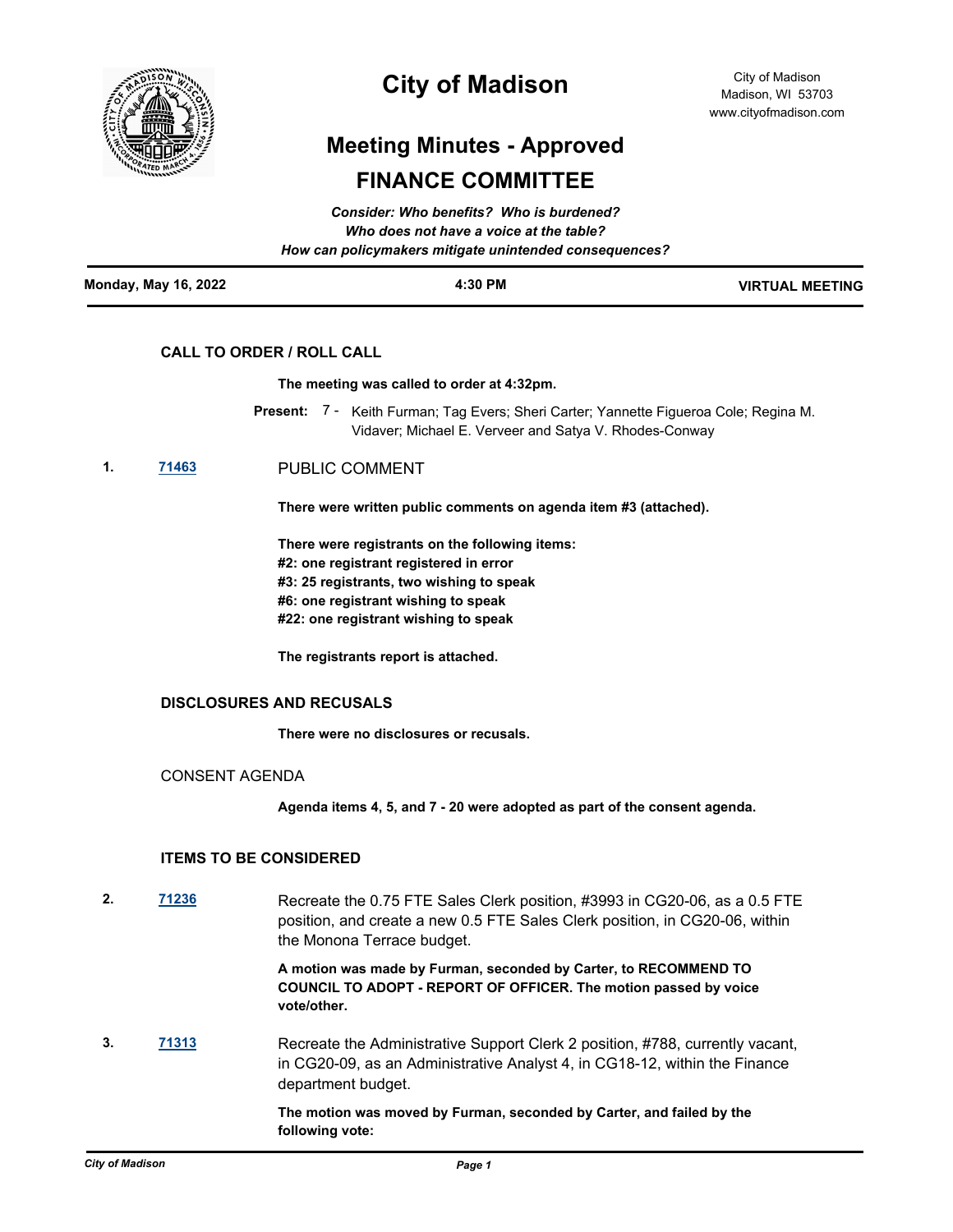

## **City of Madison**

# **Meeting Minutes - Approved FINANCE COMMITTEE**

| <b>Monday, May 16, 2022</b> | 4:30 PM                                                | <b>VIRTUAL MEETING</b> |
|-----------------------------|--------------------------------------------------------|------------------------|
|                             | How can policymakers mitigate unintended consequences? |                        |
|                             | Who does not have a voice at the table?                |                        |
|                             | Consider: Who benefits? Who is burdened?               |                        |

## **CALL TO ORDER / ROLL CALL**

#### **The meeting was called to order at 4:32pm.**

- Present: 7 Keith Furman; Tag Evers; Sheri Carter; Yannette Figueroa Cole; Regina M. Vidaver; Michael E. Verveer and Satya V. Rhodes-Conway
- **1. [71463](http://madison.legistar.com/gateway.aspx?m=l&id=/matter.aspx?key=83376)** PUBLIC COMMENT

**There were written public comments on agenda item #3 (attached).** 

**There were registrants on the following items: #2: one registrant registered in error #3: 25 registrants, two wishing to speak #6: one registrant wishing to speak #22: one registrant wishing to speak**

**The registrants report is attached.**

#### **DISCLOSURES AND RECUSALS**

**There were no disclosures or recusals.**

CONSENT AGENDA

**Agenda items 4, 5, and 7 - 20 were adopted as part of the consent agenda.**

### **ITEMS TO BE CONSIDERED**

**2. [71236](http://madison.legistar.com/gateway.aspx?m=l&id=/matter.aspx?key=83177)** Recreate the 0.75 FTE Sales Clerk position, #3993 in CG20-06, as a 0.5 FTE position, and create a new 0.5 FTE Sales Clerk position, in CG20-06, within the Monona Terrace budget.

> **A motion was made by Furman, seconded by Carter, to RECOMMEND TO COUNCIL TO ADOPT - REPORT OF OFFICER. The motion passed by voice vote/other.**

**3. [71313](http://madison.legistar.com/gateway.aspx?m=l&id=/matter.aspx?key=83252)** Recreate the Administrative Support Clerk 2 position, #788, currently vacant, in CG20-09, as an Administrative Analyst 4, in CG18-12, within the Finance department budget.

> **The motion was moved by Furman, seconded by Carter, and failed by the following vote:**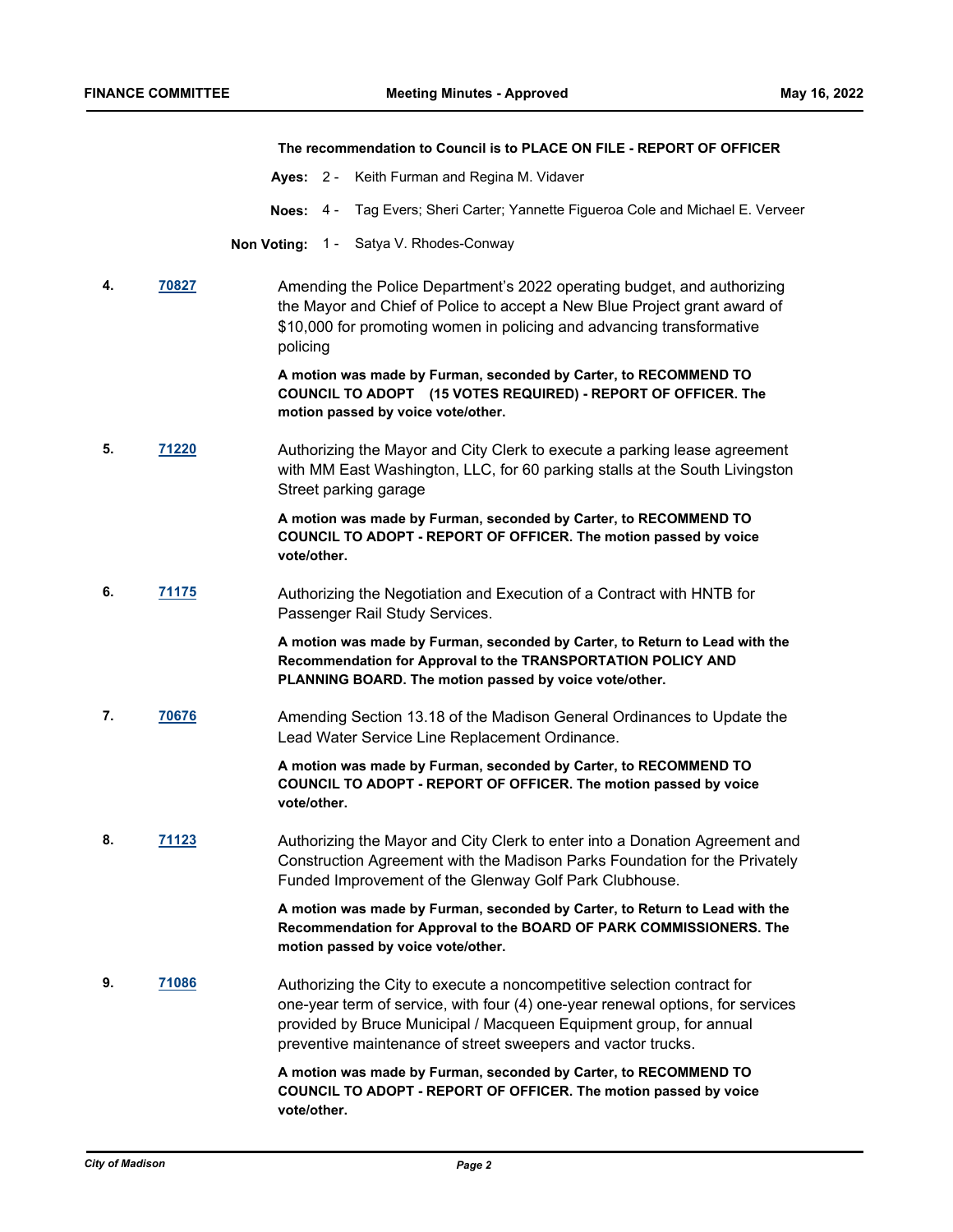#### **The recommendation to Council is to PLACE ON FILE - REPORT OF OFFICER**

- **Ayes:** 2 Keith Furman and Regina M. Vidaver
- **Noes:** 4 Tag Evers; Sheri Carter; Yannette Figueroa Cole and Michael E. Verveer
- **Non Voting:** 1 Satya V. Rhodes-Conway
- **4. [70827](http://madison.legistar.com/gateway.aspx?m=l&id=/matter.aspx?key=82825)** Amending the Police Department's 2022 operating budget, and authorizing the Mayor and Chief of Police to accept a New Blue Project grant award of \$10,000 for promoting women in policing and advancing transformative policing

**A motion was made by Furman, seconded by Carter, to RECOMMEND TO COUNCIL TO ADOPT (15 VOTES REQUIRED) - REPORT OF OFFICER. The motion passed by voice vote/other.**

**5. [71220](http://madison.legistar.com/gateway.aspx?m=l&id=/matter.aspx?key=83161)** Authorizing the Mayor and City Clerk to execute a parking lease agreement with MM East Washington, LLC, for 60 parking stalls at the South Livingston Street parking garage

> **A motion was made by Furman, seconded by Carter, to RECOMMEND TO COUNCIL TO ADOPT - REPORT OF OFFICER. The motion passed by voice vote/other.**

**6. [71175](http://madison.legistar.com/gateway.aspx?m=l&id=/matter.aspx?key=83126)** Authorizing the Negotiation and Execution of a Contract with HNTB for Passenger Rail Study Services.

> **A motion was made by Furman, seconded by Carter, to Return to Lead with the Recommendation for Approval to the TRANSPORTATION POLICY AND PLANNING BOARD. The motion passed by voice vote/other.**

**7. [70676](http://madison.legistar.com/gateway.aspx?m=l&id=/matter.aspx?key=82704)** Amending Section 13.18 of the Madison General Ordinances to Update the Lead Water Service Line Replacement Ordinance.

> **A motion was made by Furman, seconded by Carter, to RECOMMEND TO COUNCIL TO ADOPT - REPORT OF OFFICER. The motion passed by voice vote/other.**

**8. [71123](http://madison.legistar.com/gateway.aspx?m=l&id=/matter.aspx?key=83074)** Authorizing the Mayor and City Clerk to enter into a Donation Agreement and Construction Agreement with the Madison Parks Foundation for the Privately Funded Improvement of the Glenway Golf Park Clubhouse.

> **A motion was made by Furman, seconded by Carter, to Return to Lead with the Recommendation for Approval to the BOARD OF PARK COMMISSIONERS. The motion passed by voice vote/other.**

**9. [71086](http://madison.legistar.com/gateway.aspx?m=l&id=/matter.aspx?key=83043)** Authorizing the City to execute a noncompetitive selection contract for one-year term of service, with four (4) one-year renewal options, for services provided by Bruce Municipal / Macqueen Equipment group, for annual preventive maintenance of street sweepers and vactor trucks.

> **A motion was made by Furman, seconded by Carter, to RECOMMEND TO COUNCIL TO ADOPT - REPORT OF OFFICER. The motion passed by voice vote/other.**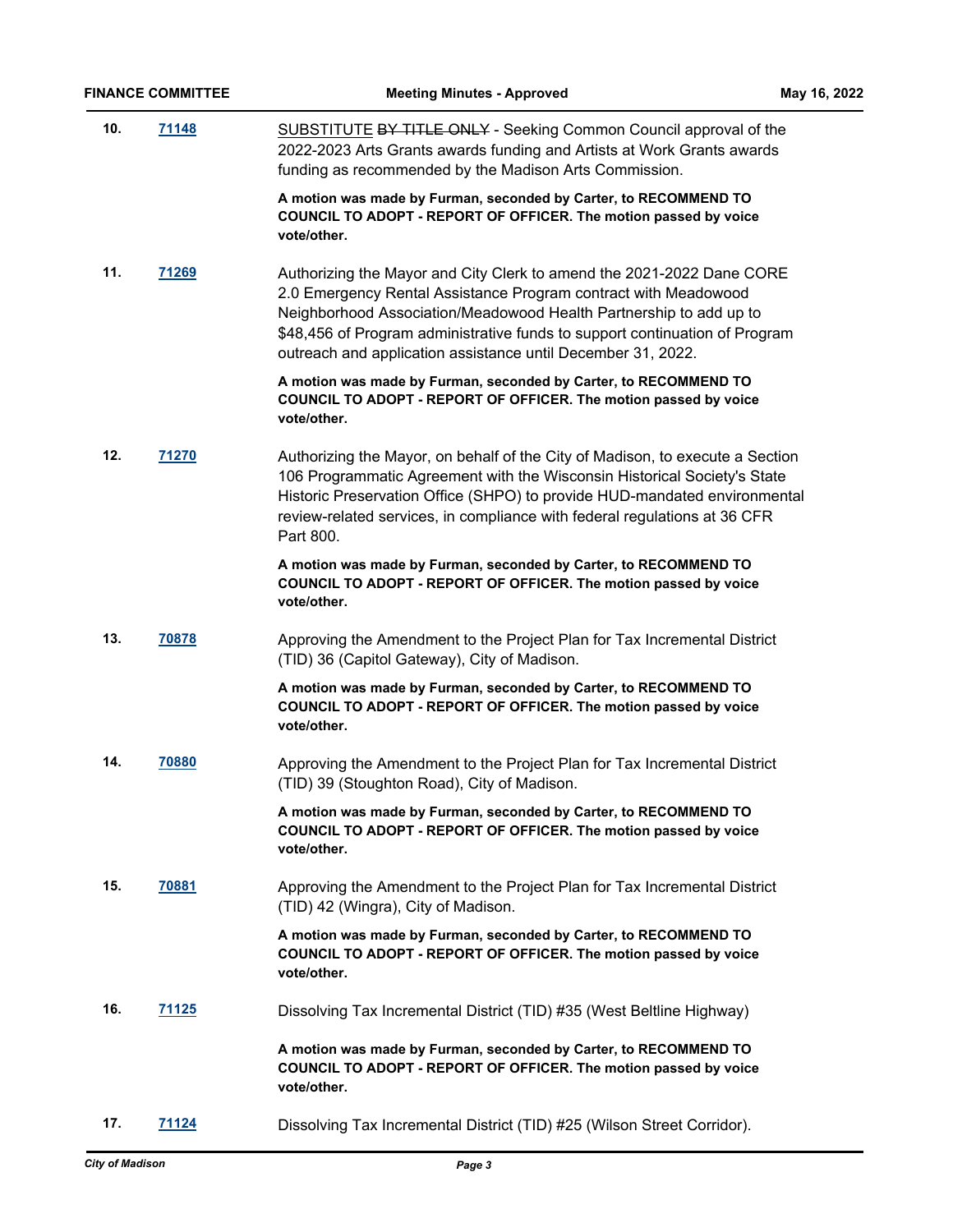| 10. | 71148        | SUBSTITUTE BY TITLE ONLY - Seeking Common Council approval of the<br>2022-2023 Arts Grants awards funding and Artists at Work Grants awards<br>funding as recommended by the Madison Arts Commission.                                                                                                                                                         |
|-----|--------------|---------------------------------------------------------------------------------------------------------------------------------------------------------------------------------------------------------------------------------------------------------------------------------------------------------------------------------------------------------------|
|     |              | A motion was made by Furman, seconded by Carter, to RECOMMEND TO<br>COUNCIL TO ADOPT - REPORT OF OFFICER. The motion passed by voice<br>vote/other.                                                                                                                                                                                                           |
| 11. | 71269        | Authorizing the Mayor and City Clerk to amend the 2021-2022 Dane CORE<br>2.0 Emergency Rental Assistance Program contract with Meadowood<br>Neighborhood Association/Meadowood Health Partnership to add up to<br>\$48,456 of Program administrative funds to support continuation of Program<br>outreach and application assistance until December 31, 2022. |
|     |              | A motion was made by Furman, seconded by Carter, to RECOMMEND TO<br>COUNCIL TO ADOPT - REPORT OF OFFICER. The motion passed by voice<br>vote/other.                                                                                                                                                                                                           |
| 12. | 71270        | Authorizing the Mayor, on behalf of the City of Madison, to execute a Section<br>106 Programmatic Agreement with the Wisconsin Historical Society's State<br>Historic Preservation Office (SHPO) to provide HUD-mandated environmental<br>review-related services, in compliance with federal regulations at 36 CFR<br>Part 800.                              |
|     |              | A motion was made by Furman, seconded by Carter, to RECOMMEND TO<br>COUNCIL TO ADOPT - REPORT OF OFFICER. The motion passed by voice<br>vote/other.                                                                                                                                                                                                           |
| 13. | 70878        | Approving the Amendment to the Project Plan for Tax Incremental District<br>(TID) 36 (Capitol Gateway), City of Madison.                                                                                                                                                                                                                                      |
|     |              | A motion was made by Furman, seconded by Carter, to RECOMMEND TO<br>COUNCIL TO ADOPT - REPORT OF OFFICER. The motion passed by voice<br>vote/other.                                                                                                                                                                                                           |
| 14. | 70880        | Approving the Amendment to the Project Plan for Tax Incremental District<br>(TID) 39 (Stoughton Road), City of Madison.                                                                                                                                                                                                                                       |
|     |              | A motion was made by Furman, seconded by Carter, to RECOMMEND TO<br>COUNCIL TO ADOPT - REPORT OF OFFICER. The motion passed by voice<br>vote/other.                                                                                                                                                                                                           |
| 15. | 70881        | Approving the Amendment to the Project Plan for Tax Incremental District<br>(TID) 42 (Wingra), City of Madison.                                                                                                                                                                                                                                               |
|     |              | A motion was made by Furman, seconded by Carter, to RECOMMEND TO<br>COUNCIL TO ADOPT - REPORT OF OFFICER. The motion passed by voice<br>vote/other.                                                                                                                                                                                                           |
| 16. | 71125        | Dissolving Tax Incremental District (TID) #35 (West Beltline Highway)                                                                                                                                                                                                                                                                                         |
|     |              | A motion was made by Furman, seconded by Carter, to RECOMMEND TO<br>COUNCIL TO ADOPT - REPORT OF OFFICER. The motion passed by voice<br>vote/other.                                                                                                                                                                                                           |
| 17. | <u>71124</u> | Dissolving Tax Incremental District (TID) #25 (Wilson Street Corridor).                                                                                                                                                                                                                                                                                       |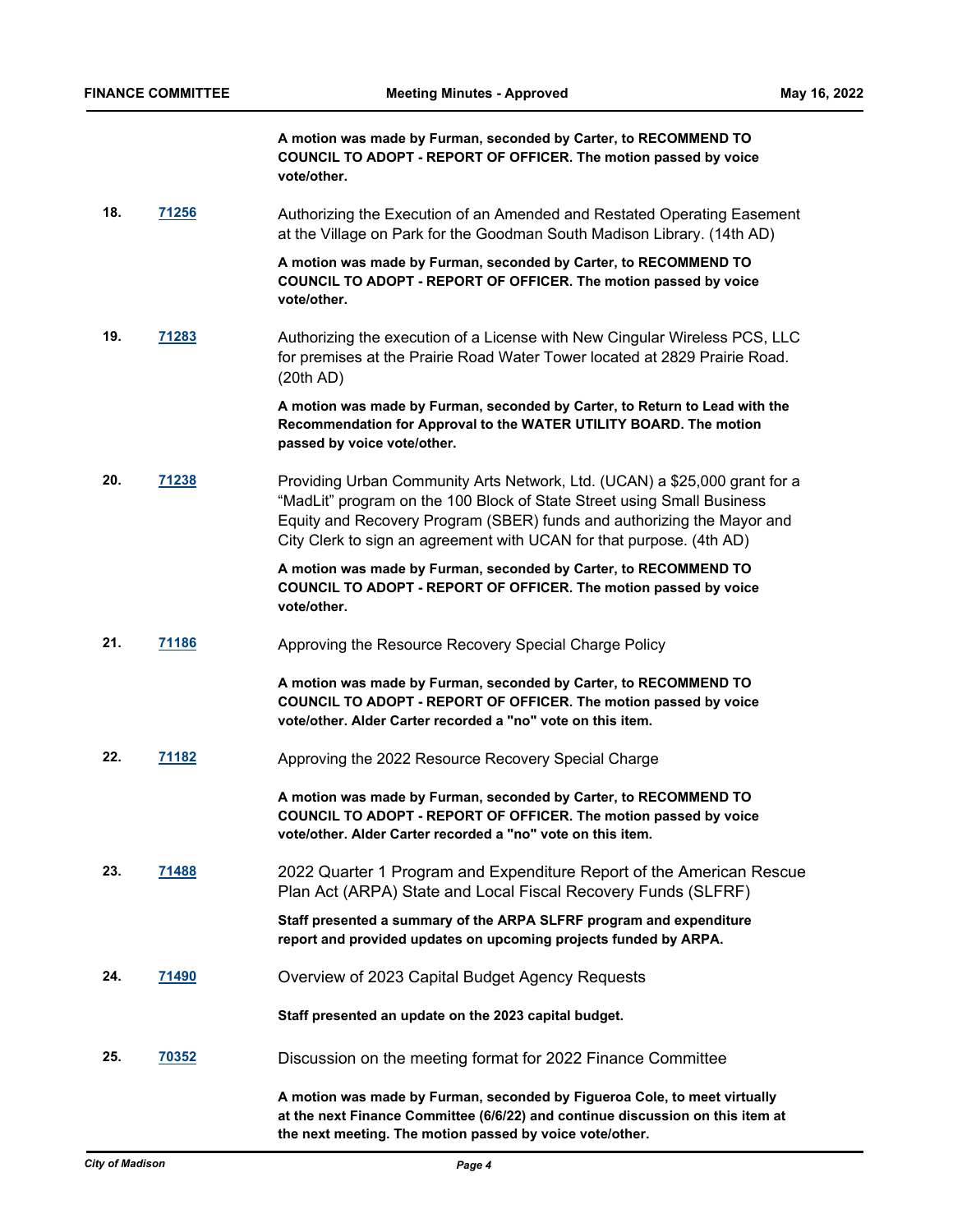**A motion was made by Furman, seconded by Carter, to RECOMMEND TO COUNCIL TO ADOPT - REPORT OF OFFICER. The motion passed by voice vote/other.**

**18. [71256](http://madison.legistar.com/gateway.aspx?m=l&id=/matter.aspx?key=83197)** Authorizing the Execution of an Amended and Restated Operating Easement at the Village on Park for the Goodman South Madison Library. (14th AD)

> **A motion was made by Furman, seconded by Carter, to RECOMMEND TO COUNCIL TO ADOPT - REPORT OF OFFICER. The motion passed by voice vote/other.**

**19. [71283](http://madison.legistar.com/gateway.aspx?m=l&id=/matter.aspx?key=83224)** Authorizing the execution of a License with New Cingular Wireless PCS, LLC for premises at the Prairie Road Water Tower located at 2829 Prairie Road. (20th AD)

> **A motion was made by Furman, seconded by Carter, to Return to Lead with the Recommendation for Approval to the WATER UTILITY BOARD. The motion passed by voice vote/other.**

**20. [71238](http://madison.legistar.com/gateway.aspx?m=l&id=/matter.aspx?key=83179)** Providing Urban Community Arts Network, Ltd. (UCAN) a \$25,000 grant for a "MadLit" program on the 100 Block of State Street using Small Business Equity and Recovery Program (SBER) funds and authorizing the Mayor and City Clerk to sign an agreement with UCAN for that purpose. (4th AD)

> **A motion was made by Furman, seconded by Carter, to RECOMMEND TO COUNCIL TO ADOPT - REPORT OF OFFICER. The motion passed by voice vote/other.**

21. **[71186](http://madison.legistar.com/gateway.aspx?m=l&id=/matter.aspx?key=83137)** Approving the Resource Recovery Special Charge Policy

**A motion was made by Furman, seconded by Carter, to RECOMMEND TO COUNCIL TO ADOPT - REPORT OF OFFICER. The motion passed by voice vote/other. Alder Carter recorded a "no" vote on this item.**

**22. [71182](http://madison.legistar.com/gateway.aspx?m=l&id=/matter.aspx?key=83133)** Approving the 2022 Resource Recovery Special Charge

**A motion was made by Furman, seconded by Carter, to RECOMMEND TO COUNCIL TO ADOPT - REPORT OF OFFICER. The motion passed by voice vote/other. Alder Carter recorded a "no" vote on this item.**

**23. [71488](http://madison.legistar.com/gateway.aspx?m=l&id=/matter.aspx?key=83386)** 2022 Quarter 1 Program and Expenditure Report of the American Rescue Plan Act (ARPA) State and Local Fiscal Recovery Funds (SLFRF)

> **Staff presented a summary of the ARPA SLFRF program and expenditure report and provided updates on upcoming projects funded by ARPA.**

**24. [71490](http://madison.legistar.com/gateway.aspx?m=l&id=/matter.aspx?key=83388)** Overview of 2023 Capital Budget Agency Requests

**Staff presented an update on the 2023 capital budget.**

**25. [70352](http://madison.legistar.com/gateway.aspx?m=l&id=/matter.aspx?key=81426)** Discussion on the meeting format for 2022 Finance Committee

**A motion was made by Furman, seconded by Figueroa Cole, to meet virtually at the next Finance Committee (6/6/22) and continue discussion on this item at the next meeting. The motion passed by voice vote/other.**